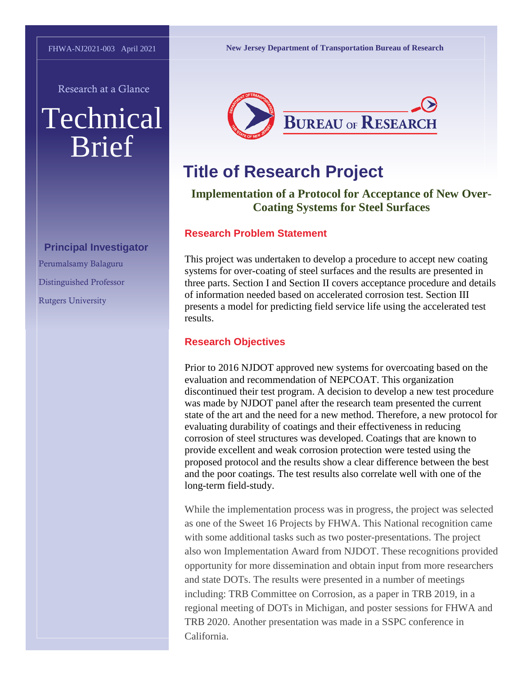Research at a Glance

# Technical Brief

**Principal Investigator** Perumalsamy Balaguru Distinguished Professor Rutgers University

**New Jersey Department of Transportation Bureau of Research**



## **Title of Research Project**

**Implementation of a Protocol for Acceptance of New Over-Coating Systems for Steel Surfaces**

#### **Research Problem Statement**

This project was undertaken to develop a procedure to accept new coating systems for over-coating of steel surfaces and the results are presented in three parts. Section I and Section II covers acceptance procedure and details of information needed based on accelerated corrosion test. Section III presents a model for predicting field service life using the accelerated test results.

#### **Research Objectives**

Prior to 2016 NJDOT approved new systems for overcoating based on the evaluation and recommendation of NEPCOAT. This organization discontinued their test program. A decision to develop a new test procedure was made by NJDOT panel after the research team presented the current state of the art and the need for a new method. Therefore, a new protocol for evaluating durability of coatings and their effectiveness in reducing corrosion of steel structures was developed. Coatings that are known to provide excellent and weak corrosion protection were tested using the proposed protocol and the results show a clear difference between the best and the poor coatings. The test results also correlate well with one of the long-term field-study.

While the implementation process was in progress, the project was selected as one of the Sweet 16 Projects by FHWA. This National recognition came with some additional tasks such as two poster-presentations. The project also won Implementation Award from NJDOT. These recognitions provided opportunity for more dissemination and obtain input from more researchers and state DOTs. The results were presented in a number of meetings including: TRB Committee on Corrosion, as a paper in TRB 2019, in a regional meeting of DOTs in Michigan, and poster sessions for FHWA and TRB 2020. Another presentation was made in a SSPC conference in California.